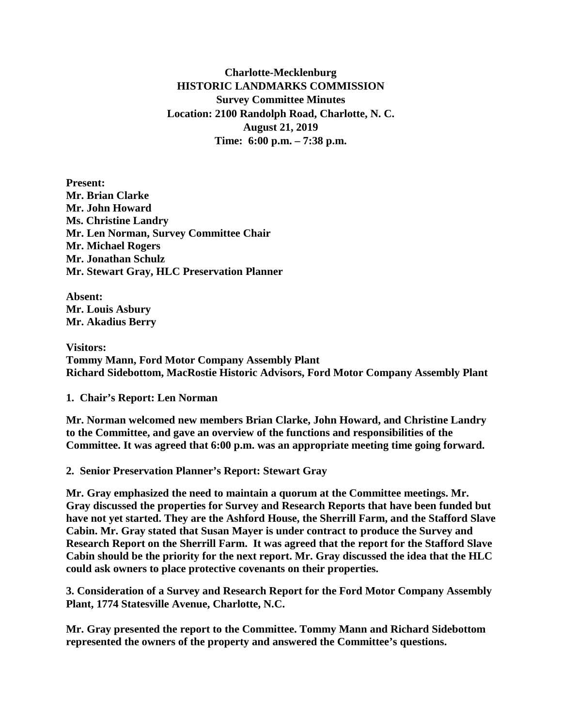**Charlotte-Mecklenburg HISTORIC LANDMARKS COMMISSION Survey Committee Minutes Location: 2100 Randolph Road, Charlotte, N. C. August 21, 2019 Time: 6:00 p.m. – 7:38 p.m.**

**Present: Mr. Brian Clarke Mr. John Howard Ms. Christine Landry Mr. Len Norman, Survey Committee Chair Mr. Michael Rogers Mr. Jonathan Schulz Mr. Stewart Gray, HLC Preservation Planner**

**Absent: Mr. Louis Asbury Mr. Akadius Berry**

**Visitors: Tommy Mann, Ford Motor Company Assembly Plant Richard Sidebottom, MacRostie Historic Advisors, Ford Motor Company Assembly Plant**

**1. Chair's Report: Len Norman** 

**Mr. Norman welcomed new members Brian Clarke, John Howard, and Christine Landry to the Committee, and gave an overview of the functions and responsibilities of the Committee. It was agreed that 6:00 p.m. was an appropriate meeting time going forward.**

**2. Senior Preservation Planner's Report: Stewart Gray**

**Mr. Gray emphasized the need to maintain a quorum at the Committee meetings. Mr. Gray discussed the properties for Survey and Research Reports that have been funded but have not yet started. They are the Ashford House, the Sherrill Farm, and the Stafford Slave Cabin. Mr. Gray stated that Susan Mayer is under contract to produce the Survey and Research Report on the Sherrill Farm. It was agreed that the report for the Stafford Slave Cabin should be the priority for the next report. Mr. Gray discussed the idea that the HLC could ask owners to place protective covenants on their properties.** 

**3. Consideration of a Survey and Research Report for the Ford Motor Company Assembly Plant, 1774 Statesville Avenue, Charlotte, N.C.**

**Mr. Gray presented the report to the Committee. Tommy Mann and Richard Sidebottom represented the owners of the property and answered the Committee's questions.**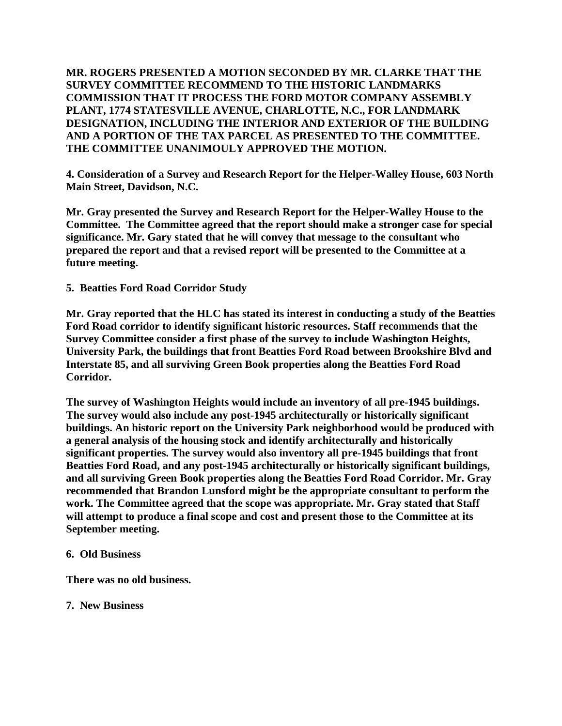**MR. ROGERS PRESENTED A MOTION SECONDED BY MR. CLARKE THAT THE SURVEY COMMITTEE RECOMMEND TO THE HISTORIC LANDMARKS COMMISSION THAT IT PROCESS THE FORD MOTOR COMPANY ASSEMBLY PLANT, 1774 STATESVILLE AVENUE, CHARLOTTE, N.C., FOR LANDMARK DESIGNATION, INCLUDING THE INTERIOR AND EXTERIOR OF THE BUILDING AND A PORTION OF THE TAX PARCEL AS PRESENTED TO THE COMMITTEE. THE COMMITTEE UNANIMOULY APPROVED THE MOTION.**

**4. Consideration of a Survey and Research Report for the Helper-Walley House, 603 North Main Street, Davidson, N.C.** 

**Mr. Gray presented the Survey and Research Report for the Helper-Walley House to the Committee. The Committee agreed that the report should make a stronger case for special significance. Mr. Gary stated that he will convey that message to the consultant who prepared the report and that a revised report will be presented to the Committee at a future meeting.**

**5. Beatties Ford Road Corridor Study**

**Mr. Gray reported that the HLC has stated its interest in conducting a study of the Beatties Ford Road corridor to identify significant historic resources. Staff recommends that the Survey Committee consider a first phase of the survey to include Washington Heights, University Park, the buildings that front Beatties Ford Road between Brookshire Blvd and Interstate 85, and all surviving Green Book properties along the Beatties Ford Road Corridor.**

**The survey of Washington Heights would include an inventory of all pre-1945 buildings. The survey would also include any post-1945 architecturally or historically significant buildings. An historic report on the University Park neighborhood would be produced with a general analysis of the housing stock and identify architecturally and historically significant properties. The survey would also inventory all pre-1945 buildings that front Beatties Ford Road, and any post-1945 architecturally or historically significant buildings, and all surviving Green Book properties along the Beatties Ford Road Corridor. Mr. Gray recommended that Brandon Lunsford might be the appropriate consultant to perform the work. The Committee agreed that the scope was appropriate. Mr. Gray stated that Staff will attempt to produce a final scope and cost and present those to the Committee at its September meeting.**

## **6. Old Business**

**There was no old business.**

**7. New Business**